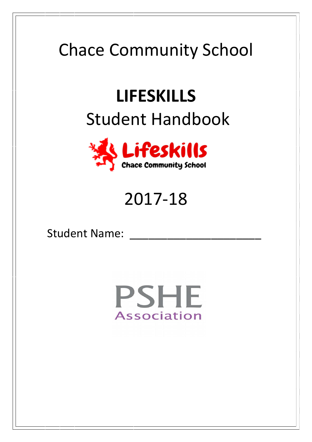## Chace Community School

# **LIFESKILLS** Student Handbook



### 2017-18

Student Name:

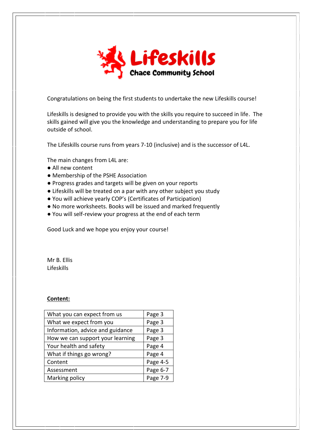

Congratulations on being the first students to undertake the new Lifeskills course!

Lifeskills is designed to provide you with the skills you require to succeed in life. The skills gained will give you the knowledge and understanding to prepare you for life outside of school.

The Lifeskills course runs from years 7-10 (inclusive) and is the successor of L4L.

The main changes from L4L are:

- All new content
- Membership of the PSHE Association
- Progress grades and targets will be given on your reports
- Lifeskills will be treated on a par with any other subject you study
- You will achieve yearly COP's (Certificates of Participation)
- No more worksheets. Books will be issued and marked frequently
- You will self-review your progress at the end of each term

Good Luck and we hope you enjoy your course!

Mr B. Ellis Lifeskills

#### **Content:**

| What you can expect from us      | Page 3   |
|----------------------------------|----------|
| What we expect from you          | Page 3   |
| Information, advice and guidance | Page 3   |
| How we can support your learning | Page 3   |
| Your health and safety           | Page 4   |
| What if things go wrong?         | Page 4   |
| Content                          | Page 4-5 |
| Assessment                       | Page 6-7 |
| Marking policy                   | Page 7-9 |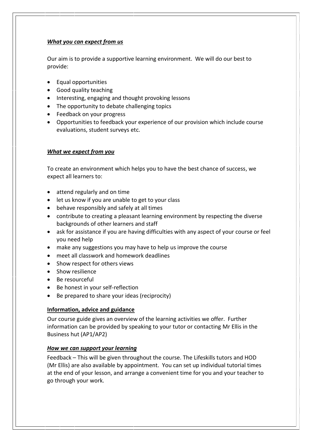#### *What you can expect from us*

Our aim is to provide a supportive learning environment. We will do our best to provide:

- Equal opportunities
- Good quality teaching
- Interesting, engaging and thought provoking lessons
- The opportunity to debate challenging topics
- Feedback on your progress
- Opportunities to feedback your experience of our provision which include course evaluations, student surveys etc.

#### *What we expect from you*

To create an environment which helps you to have the best chance of success, we expect all learners to:

- attend regularly and on time
- let us know if you are unable to get to your class
- behave responsibly and safely at all times
- contribute to creating a pleasant learning environment by respecting the diverse backgrounds of other learners and staff
- ask for assistance if you are having difficulties with any aspect of your course or feel you need help
- make any suggestions you may have to help us improve the course
- meet all classwork and homework deadlines
- Show respect for others views
- Show resilience
- Be resourceful
- Be honest in your self-reflection
- Be prepared to share your ideas (reciprocity)

#### **Information, advice and guidance**

Our course guide gives an overview of the learning activities we offer. Further information can be provided by speaking to your tutor or contacting Mr Ellis in the Business hut (AP1/AP2)

#### *How we can support your learning*

Feedback – This will be given throughout the course. The Lifeskills tutors and HOD (Mr Ellis) are also available by appointment. You can set up individual tutorial times at the end of your lesson, and arrange a convenient time for you and your teacher to go through your work.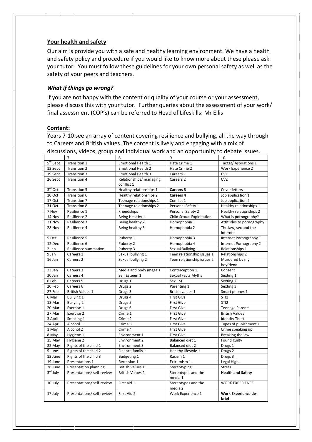#### **Your health and safety**

Our aim is provide you with a safe and healthy learning environment. We have a health and safety policy and procedure if you would like to know more about these please ask your tutor. You must follow these guidelines for your own personal safety as well as the safety of your peers and teachers.

#### *What if things go wrong?*

If you are not happy with the content or quality of your course or your assessment, please discuss this with your tutor. Further queries about the assessment of your work/ final assessment (COP's) can be referred to Head of Lifeskills: Mr Ellis

#### **Content:**

Years 7-10 see an array of content covering resilience and bullying, all the way through to Careers and British values. The content is lively and engaging with a mix of discussions, videos, group and individual work and an opportunity to debate issues.

|            | $\overline{7}$             | 8                                                       | 9                              | 10                                  |  |
|------------|----------------------------|---------------------------------------------------------|--------------------------------|-------------------------------------|--|
| $5th$ Sept | Transition 1               | Emotional Health 1                                      | Hate Crime 1                   | Target/ Aspirations 1               |  |
| 12 Sept    | <b>Transition 2</b>        | <b>Emotional Health 2</b>                               | Hate Crime 2                   | Work Experience 2                   |  |
| 19 Sept    | Transition 3               | <b>Emotional Health 3</b>                               | Careers 1                      | CV1                                 |  |
| 26 Sept    | <b>Transition 4</b>        | Relationships/ managing<br>Careers 2                    |                                | CV <sub>2</sub>                     |  |
|            |                            | conflict 1                                              |                                |                                     |  |
| $3rd$ Oct  | Transition 5               | Healthy relationships 1                                 | Careers 3                      | Cover letters                       |  |
| 10 Oct     | Transition 6               | Healthy relationships 2                                 | Careers 4                      | Job application 1                   |  |
| 17 Oct     | Transition 7               | Teenage relationships 1                                 | Conflict 1                     | Job application 2                   |  |
| 31 Oct     | <b>Transition 8</b>        | Teenage relationships 2                                 | Personal Safety 1              | Healthy relationships 1             |  |
| 7 Nov      | Resilience 1               | Friendships                                             | Personal Safety 2              | Healthy relationships 2             |  |
| 14 Nov     | Resilience 2               | Being Healthy 1                                         | Child Sexual Exploitation      | What is pornography?                |  |
| 21 Nov     | Resilience 3               | Being healthy 2                                         | Homophobia 1                   | Attitudes to pornography            |  |
| 28 Nov     | Resilience 4               | Being healthy 3                                         | Homophobia 2                   | The law, sex and the                |  |
|            |                            |                                                         |                                | internet                            |  |
| 5 Dec      | Resilience 5               | Puberty 1                                               | Homophobia 3                   | Internet Pornography 1              |  |
| 12 Dec     | Resilience 6               | Puberty 2                                               | Homophobia 4                   | Internet Pornography 2              |  |
| 2 Jan      | Resilience summative       | Puberty 3                                               | Sexual Bullying 1              | Relationships 1                     |  |
| 9 Jan      | Careers 1                  | Sexual bullying 1                                       | Teen relationship issues 1     | Relationships 2                     |  |
| 16 Jan     | Careers <sub>2</sub>       | Sexual bullying 2                                       | Teen relationship issues 2     | Murdered by my                      |  |
|            |                            |                                                         |                                | boyfriend                           |  |
| 23 Jan     | Careers 3                  | Media and body image 1<br>Contraception 1               |                                | Consent                             |  |
| 30 Jan     | Careers 4                  | Self Esteem 1                                           | Sexual Facts Myths             | Sexting 1                           |  |
| 6 Feb      | Careers 5                  | Drugs 1                                                 | Sex FM                         | Sexting 2                           |  |
| 20 Feb     | Careers 6                  | Drugs <sub>2</sub>                                      | Parenting 1                    | Sexting 3                           |  |
| 27 Feb     | <b>British Values 1</b>    | Drugs 3                                                 | British values 1               | Smart phones 1                      |  |
| 6 Mar      | Bullying 1                 | Drugs 4                                                 | <b>First Give</b>              | STI1                                |  |
| 13 Mar     | <b>Bullying 2</b>          | Drugs 5                                                 | <b>First Give</b>              | STI <sub>2</sub>                    |  |
| 20 Mar     | Exercise 1                 | Drugs <sub>6</sub>                                      | <b>First Give</b>              | <b>Teenage Parents</b>              |  |
| 27 Mar     | Exercise 2                 | Crime 1                                                 | <b>First Give</b>              | <b>British Values</b>               |  |
| 3 April    | Smoking 1                  | Crime 2                                                 | <b>First Give</b>              | <b>Identity Theft</b>               |  |
| 24 April   | Alcohol 1                  | Crime 3                                                 | <b>First Give</b>              | Types of punishment 1               |  |
| 1 May      | Alcohol 2<br>Crime 4       |                                                         | <b>First Give</b>              | Crime speaking up                   |  |
| 8 May      | Hygiene 1<br>Environment 1 |                                                         | <b>First Give</b>              | Breaking the law                    |  |
| 15 May     | Hygiene <sub>2</sub>       | <b>Environment 2</b><br>Balanced diet 1<br>Found guilty |                                |                                     |  |
| 22 May     | Rights of the child 1      | Environment 3                                           | Balanced diet 2                | Drugs 1                             |  |
| 5 June     | Rights of the child 2      | Finance family 1                                        | Healthy lifestyle 1            | Drugs <sub>2</sub>                  |  |
| 12 June    | Rights of the child 3      | <b>Budgeting 1</b>                                      | Drugs 3<br>Racism 1            |                                     |  |
| 19 June    | Presentations 1            | Legal Highs<br>Extremism 1<br>Recession 1               |                                |                                     |  |
| 26 June    | Presentation planning      | <b>British Values 1</b><br>Stereotyping                 |                                | <b>Stress</b>                       |  |
| $3rd$ July | Presentations/ self-review | <b>British Values 2</b>                                 | Stereotypes and the<br>media 1 | <b>Health and Safety</b>            |  |
| 10 July    | Presentations/ self-review | First aid 1                                             | Stereotypes and the<br>media 2 | <b>WORK EXPERIENCE</b>              |  |
| 17 July    | Presentations/ self-review | First Aid 2                                             | Work Experience 1              | Work Experience de-<br><b>brief</b> |  |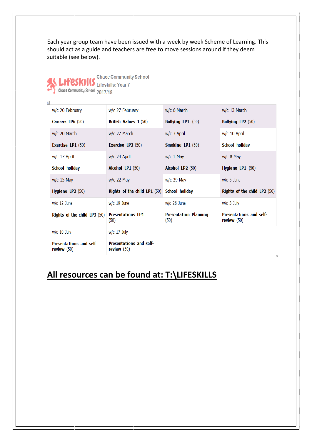Each year group team have been issued with a week by week Scheme of Learning. This should act as a guide and teachers are free to move sessions around if they deem suitable (see below).

|  | <b>Chace Community School</b><br>Chace Community School 2017/18 |
|--|-----------------------------------------------------------------|
|  |                                                                 |

 $\frac{1}{2}$ 

| w/c 20 February                                 | w/c 27 February                                 | w/c 6 March                          | w/c 13 March                                    |
|-------------------------------------------------|-------------------------------------------------|--------------------------------------|-------------------------------------------------|
| Careers LP6 (50)                                | British Values 1 (50)                           | <b>Bullying LP1 (50)</b>             | <b>Bullying LP2 (50)</b>                        |
| w/c 20 March                                    | w/c 27 March                                    | $w/c$ 3 April                        | w/c 10 April                                    |
| Exercise LP1 $(50)$                             | Exercise LP $2(50)$                             | Smoking LP1 (50)                     | School holiday                                  |
| w/c 17 April                                    | $w/c$ 24 April                                  | $w/c$ 1 May                          | $w/c$ 8 May                                     |
| School holiday                                  | Alcohol LP1 (50)                                | Alcohol LP2 (50)                     | Hygiene LP1 (50)                                |
| $w/c$ 15 May                                    | $w/c$ 22 May                                    | $w/c$ 29 May                         | $w/c$ 5 June                                    |
| Hygiene LP $2(50)$                              | Rights of the child LP1 (50)                    | School holiday                       | Rights of the child LP2 (50)                    |
| $w/c$ 12 June                                   | $w/c$ 19 June                                   | $w/c$ 26 June                        | $w/c$ 3 July                                    |
| Rights of the child LP3 $(50)$                  | <b>Presentations LP1</b><br>(50)                | <b>Presentation Planning</b><br>(50) | <b>Presentations and self-</b><br>review $(50)$ |
| $w/c$ 10 July                                   | $w/c$ 17 July                                   |                                      |                                                 |
| <b>Presentations and self-</b><br>review $(50)$ | <b>Presentations and self-</b><br>review $(50)$ |                                      |                                                 |

### **All resources can be found at: T:\LIFESKILLS**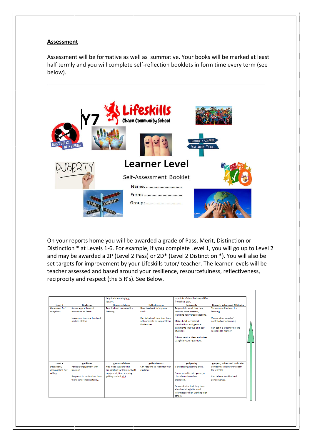#### **Assessment**

Assessment will be formative as well as summative. Your books will be marked at least half termly and you will complete self-reflection booklets in form time every term (see below).



On your reports home you will be awarded a grade of Pass, Merit, Distinction or Distinction \* at Levels 1-6. For example, if you complete Level 1, you will go up to Level 2 and may be awarded a 2P (Level 2 Pass) or 2D\* (Level 2 Distinction \*). You will also be set targets for improvement by your Lifeskills tutor/ teacher. The learner levels will be teacher assessed and based around your resilience, resourcefulness, reflectiveness, reciprocity and respect (the 5 R's). See Below.

|                                            |                                                                                                     | help their learning (e.g.<br>library).                                                                       |                                                                                                                   | or points of view that may differ<br>from their own.                                                                                                                                                                                                               |                                                                                                                                                                                           |
|--------------------------------------------|-----------------------------------------------------------------------------------------------------|--------------------------------------------------------------------------------------------------------------|-------------------------------------------------------------------------------------------------------------------|--------------------------------------------------------------------------------------------------------------------------------------------------------------------------------------------------------------------------------------------------------------------|-------------------------------------------------------------------------------------------------------------------------------------------------------------------------------------------|
| Level 2                                    | <b>Resilience</b>                                                                                   | <b>Resourcefulness</b>                                                                                       | <b>Reflectiveness</b>                                                                                             | <b>Reciprocity</b>                                                                                                                                                                                                                                                 |                                                                                                                                                                                           |
| Dependent but<br>compliant.                | Shows a good level of<br>motivation to learn<br>Engages in learning for short<br>periods of time.   | Punctual and prepared for<br>learning.                                                                       | Uses feedback to improve<br>work<br>Can talk about how they learn<br>with prompts or support from<br>the teacher. | Responds to what they hear,<br>showing some interest,<br>including non-verbal reactions.<br>Makes brief, occasional<br>contributions and general<br>statements in group and pair<br>situations.<br>Follows central ideas and raises.<br>straightforward questions. | <b>Respect, Values and Attitudes</b><br>Shows an enthusiasm for<br>learning.<br>Values other peoples'<br>contribution to learning.<br>Can act in a trustworthy and<br>responsible manner. |
| Level 1                                    | <b>Resilience</b>                                                                                   | <b>Resourcefulness</b>                                                                                       | <b>Reflectiveness</b>                                                                                             | <b>Reciprocity</b>                                                                                                                                                                                                                                                 | <b>Respect, Values and Attitudes</b>                                                                                                                                                      |
| Dependent.<br>disorganised but<br>willina. | Periodic engagement with<br>learning.<br>Responds to motivation from<br>the teacher inconsistently. | May need support with<br>preparation for learning (with<br>equipment, time keeping.<br>getting started etc). | Can respond to feedback with<br>guidance.                                                                         | Is developing listening skills.<br>Can respond in pair, group, or<br>class discussion when<br>prompted.<br>Demonstrates that they have<br>absorbed straightforward<br>information when working with<br>others.                                                     | Sometimes shows enthusiasm<br>for learning.<br>Can behave in a kind and<br>generous way.                                                                                                  |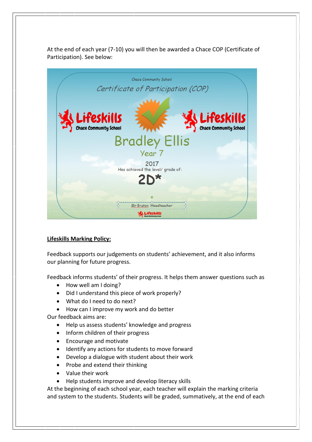At the end of each year (7-10) you will then be awarded a Chace COP (Certificate of Participation). See below:



#### **Lifeskills Marking Policy:**

Feedback supports our judgements on students' achievement, and it also informs our planning for future progress.

Feedback informs students' of their progress. It helps them answer questions such as

- How well am I doing?
- Did I understand this piece of work properly?
- What do I need to do next?
- How can I improve my work and do better

Our feedback aims are:

- Help us assess students' knowledge and progress
- Inform children of their progress
- Encourage and motivate
- Identify any actions for students to move forward
- Develop a dialogue with student about their work
- Probe and extend their thinking
- Value their work
- Help students improve and develop literacy skills

At the beginning of each school year, each teacher will explain the marking criteria and system to the students. Students will be graded, summatively, at the end of each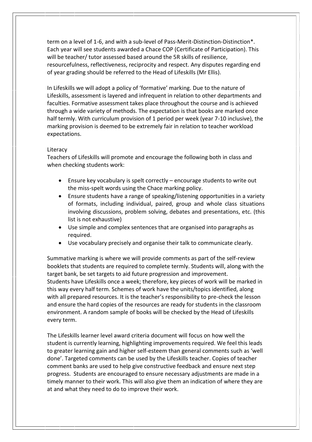term on a level of 1-6, and with a sub-level of Pass-Merit-Distinction-Distinction\*. Each year will see students awarded a Chace COP (Certificate of Participation). This will be teacher/ tutor assessed based around the 5R skills of resilience, resourcefulness, reflectiveness, reciprocity and respect. Any disputes regarding end of year grading should be referred to the Head of Lifeskills (Mr Ellis).

In Lifeskills we will adopt a policy of 'formative' marking. Due to the nature of Lifeskills, assessment is layered and infrequent in relation to other departments and faculties. Formative assessment takes place throughout the course and is achieved through a wide variety of methods. The expectation is that books are marked once half termly. With curriculum provision of 1 period per week (year 7-10 inclusive), the marking provision is deemed to be extremely fair in relation to teacher workload expectations.

#### Literacy

Teachers of Lifeskills will promote and encourage the following both in class and when checking students work:

- Ensure key vocabulary is spelt correctly encourage students to write out the miss-spelt words using the Chace marking policy.
- Ensure students have a range of speaking/listening opportunities in a variety of formats, including individual, paired, group and whole class situations involving discussions, problem solving, debates and presentations, etc. (this list is not exhaustive)
- Use simple and complex sentences that are organised into paragraphs as required.
- Use vocabulary precisely and organise their talk to communicate clearly.

Summative marking is where we will provide comments as part of the self-review booklets that students are required to complete termly. Students will, along with the target bank, be set targets to aid future progression and improvement. Students have Lifeskills once a week; therefore, key pieces of work will be marked in this way every half term. Schemes of work have the units/topics identified, along with all prepared resources. It is the teacher's responsibility to pre-check the lesson and ensure the hard copies of the resources are ready for students in the classroom environment. A random sample of books will be checked by the Head of Lifeskills every term.

The Lifeskills learner level award criteria document will focus on how well the student is currently learning, highlighting improvements required. We feel this leads to greater learning gain and higher self-esteem than general comments such as 'well done'. Targeted comments can be used by the Lifeskills teacher. Copies of teacher comment banks are used to help give constructive feedback and ensure next step progress. Students are encouraged to ensure necessary adjustments are made in a timely manner to their work. This will also give them an indication of where they are at and what they need to do to improve their work.